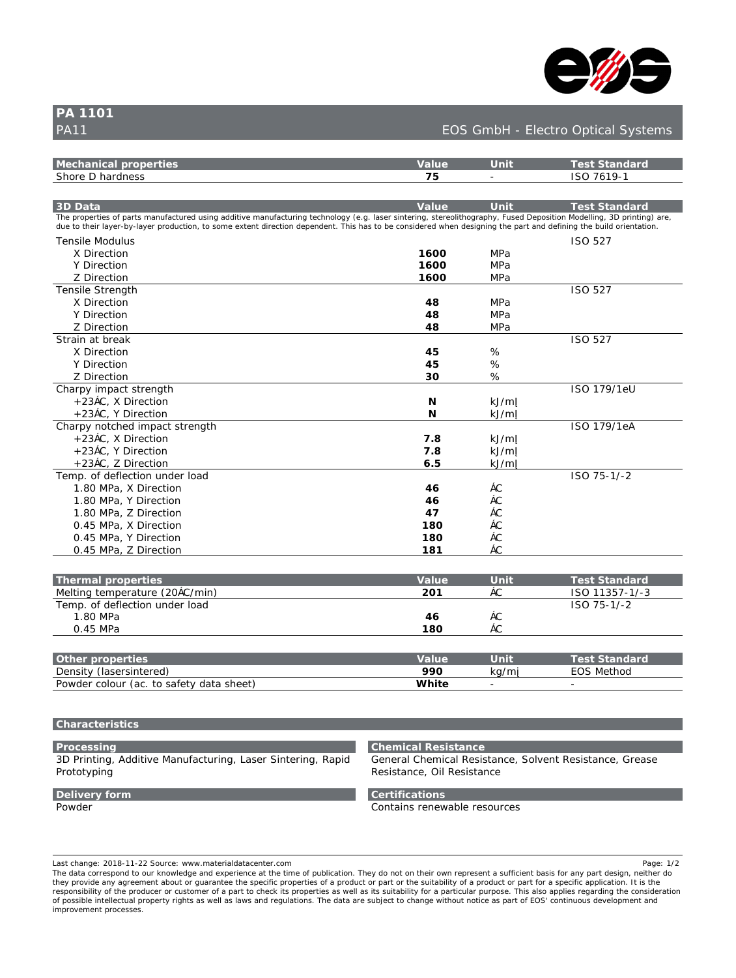

**D5 %%\$%** 

## PA11 EDS% D5%% CONTROL CONTROL CONTROL CONTROL CONTROL CONTROL CONTROL CONTROL CONTROL CONTROL CONTROL CONTROL CONTROL CONTROL CONTROL CONTROL CONTROL CONTROL CONTROL CONTROL CONTROL CONTROL CONTROL CONTROL CONTROL CONTROL

| A YW Ub]WU`dfcdYfh]Yg                                                                                                                                                                                                                                                                                                                              | J U`i Y          | $l$ b]h          | <b>HYgh GhUb XUf X</b>         |
|----------------------------------------------------------------------------------------------------------------------------------------------------------------------------------------------------------------------------------------------------------------------------------------------------------------------------------------------------|------------------|------------------|--------------------------------|
| G\cfY 8 \UfXbYgg                                                                                                                                                                                                                                                                                                                                   | $^{+}$           |                  | $= GC + * \% + 1%$             |
|                                                                                                                                                                                                                                                                                                                                                    |                  |                  |                                |
| $8.8$ UHU                                                                                                                                                                                                                                                                                                                                          | J U`i Y          | 1 b]h            | HYgh GhUb XUf X                |
| H\Y`dfcdYfh]Yq`cZdUfhq`a Ubi ZJVWifYX`i q]b[`UXX]h]jY`a Ubi ZJVWif]b[`hYVXbc`c[mfh'"["``UqYf`q]bhYf]b[ž`ghYfYc`]h\c[fUd\mž`: i qYX`8Ydcq]h]cb`AcXY``]b[ž'`8`df]bh]b[Ł`UfYž<br>Xi Y`hc`h\Y]f``UnYf!Vm`UnYf`dfcXi VWcbž`hc`gca Y`Yl hYbh`X]fYVWjcb`XYdYbXYbh'`H\]g`\Ug`hc`VY`Wbg]XYfYX`k \Yb`XYg][b]b[`h\Y`dUfh`UbX`XYZJb]b[`h\Y`Vi ]`X`cf]YbHUh cb" |                  |                  |                                |
| HYbg`Y`A cXi `i g                                                                                                                                                                                                                                                                                                                                  |                  |                  | $\exists$ GC $\rightarrow$ &+  |
| L 8 If Y Which                                                                                                                                                                                                                                                                                                                                     | $%$ \$\$         | A DU             |                                |
| M8 If Y Which                                                                                                                                                                                                                                                                                                                                      | %35              | A DU             |                                |
| N'8 Try Which                                                                                                                                                                                                                                                                                                                                      | $%$ \$\$         | A DU             |                                |
| HYbg]`Y GhfYb[ h\                                                                                                                                                                                                                                                                                                                                  |                  |                  | $\exists$ GC $\rightarrow$ & + |
| L 8 If Y Which                                                                                                                                                                                                                                                                                                                                     | ι,               | A DU             |                                |
| M8 If Y Which                                                                                                                                                                                                                                                                                                                                      |                  | A DU             |                                |
| N'8 TryWhicb                                                                                                                                                                                                                                                                                                                                       |                  | A DU             |                                |
| GhfUlb Uh VfYU                                                                                                                                                                                                                                                                                                                                     |                  |                  | $\exists$ GC $\rightarrow$ & + |
| $L$ 8 $If$ Y Which                                                                                                                                                                                                                                                                                                                                 | $\left( \right)$ |                  |                                |
| M8 If Y Which                                                                                                                                                                                                                                                                                                                                      | $\left( \right)$ |                  |                                |
| N'8]fYWh]cb                                                                                                                                                                                                                                                                                                                                        | $^{\prime}$ \$   |                  |                                |
| 7\Ufdm]a dUWighfYb[h\                                                                                                                                                                                                                                                                                                                              |                  |                  | $= GC$ % + - #%YI              |
| Ž&' š7žL 8 fYWncb                                                                                                                                                                                                                                                                                                                                  | в                | _⊁#a             |                                |
| Ž&'š7žM8]fYWhlcb                                                                                                                                                                                                                                                                                                                                   | B                | >#a              |                                |
| 7\UfdmbchWYX a dUWightYb[h\                                                                                                                                                                                                                                                                                                                        |                  |                  | $-C$ %+ - #%Y5                 |
| Ž&' š7žL 8 fYWncb                                                                                                                                                                                                                                                                                                                                  | $+$ ",           | — ⊁a             |                                |
| Ž&' š7ž M8 lfYWhlcb                                                                                                                                                                                                                                                                                                                                | $+$ ",           | $\rightarrow$ #a |                                |
| Ž&'š7žN8]fYWhlcb                                                                                                                                                                                                                                                                                                                                   | $*$ "            | >#a              |                                |
| HYa d" cZXYZYWOCbibXYf" cUX                                                                                                                                                                                                                                                                                                                        |                  |                  | $= G$ C + $) 1%$ # &           |
| %", \$A DUžL8 TYWHCb                                                                                                                                                                                                                                                                                                                               | ( *              | š7               |                                |
| %", \$ A DUž M8   fYWh cb                                                                                                                                                                                                                                                                                                                          | $\star$          | š7               |                                |
| %", \$ A DUž N 8 fYWhicb                                                                                                                                                                                                                                                                                                                           | (+               | š7               |                                |
| \$"() A DUž L 8 TYWHCb                                                                                                                                                                                                                                                                                                                             | $%$ \$           | š7               |                                |
| \$"() A DUž M8 TYW Cb                                                                                                                                                                                                                                                                                                                              | %\$              | š7               |                                |
| $\frac{1}{2}$ () A DU <sub>Ž</sub> N 8 TYW <sub>IC</sub> b                                                                                                                                                                                                                                                                                         | %, %             | š7               |                                |
|                                                                                                                                                                                                                                                                                                                                                    |                  |                  |                                |
| H\ Vfa II`dfodVfhlVn                                                                                                                                                                                                                                                                                                                               | <b>TIPEV</b>     | I h              | HVah GH Ih YI If Y             |

| H\Yfa U`dfcdYfh]Yq                   | ו U`i Y | ∣b1h | HYgh GhUb XUf X         |
|--------------------------------------|---------|------|-------------------------|
| A Y`h]b[ hYa dYfUhi fY fl&\$š7#a ]bŁ | &\$%    | Š.   | $+! \%$ #!<br>$=GC$ %%) |
| HYad"cZXYZYWHcbibXYf"cUX             |         |      | $= G$ C $+$ ) ! %#! &   |
| %". \$`A DU                          |         | Š7   |                         |
| $\mathcal{S}''$ ( ) A DU             | %       | Š7   |                         |
|                                      |         |      |                         |
|                                      |         |      |                         |

| Ch Yf dfcdYfhlYg                          | TIN 1 | b <sub>lh</sub> | HYah GhUb XUf X |
|-------------------------------------------|-------|-----------------|-----------------|
| 8 Ybg]hmflUgYfg]bhYfYXŁ                   | $ -$  | #e<br>-         | Yh\cX<br>9C G   |
| Dck XYf Wc`ci f fUW'hc gUZYhm XUHU g\YYhL | 1hY   |                 |                 |

#### **7\UfUWWf]gh]Vg**

#### DfcWYgg]b[

' 8 Df]bh]b[  $\check{z}$  5XX]h]j Y A Ubi ZUWi f]b[  $\check{z}$  @UgYf G]bhYf]b[  $\check{z}$  F Ud]X Dfchchnd]b[

### 7\Ya ]WU`FYg]ghUbWY

; YbYfU`7\Ya WU`FYg]ghUbWYžGc`j YbhFYg]ghUbWYž; fYUgY FYg]ghUbWYžC]`FYg]ghUbWY

# **BY** Jj YfmZcfa

Dck XYf

## **7Yfh]ZjWUh]cbg**

7 cbhU]bg fYbYk UV'Y fYgci fWg

Last change: 2018-11-22 Source: www.materialdatacenter.com Page: 1/2

H\Y`XUHJ`WEffYgdcbX`hc`ci f`\_bck`YX[Y`UbX`YIdYf]YbWY`Uhih\Y`h]a Y`cZdiV`]WUh]cb"`H\Ym`Xc`bch`cb`h\Y]f`ck b`fYdfYgYbh`U`gi ZJWYbh`VUg]g`Zcf`UbmdUfhXYg][bz`bY]h\Yf`Xc h\Ymdfcj ]XY`UbmU[ fYYa YbhUVci hcf`[i UfUbhYY`h\Y`gdYWZWdfcdYfh]Yg`cZU`dfcXi Wrcf`dUfhcf`h\Y`gi ]hUV]`]mrcZU`dfcXi Wrcf`dUfhZf`U`gdYWZWUdd`]WUhcb"`=h`]g`h\Y<br>fYgdcbg]V}`]hncZh\YdfcXi Wf`cf`W`ghca Yf`cZU`dUfh`hc`W\YW\_`]hg`